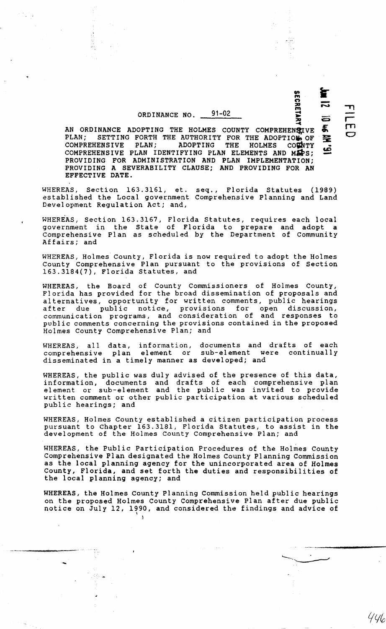## ORDINANCE NO. 91-02

ž,

AN ORDINANCE ADOPTING THE HOLMES COUNTY COMPREHENSTVE PLAN; SETTING FORTH THE AUTHORITY FOR THE ADOPTION OF COMPREHENSIVE PLAN; ADOPTING THE HOLMES COUNTY  $COMPREHENSIVE$  PLAN; ADOPTING THE HOLMES COMPREHENSIVE PLAN IDENTIFYING PLAN ELEMENTS AND  $M\ddot{\mathbf{a}}$ s; PROVIDING FOR ADMINISTRATION AND PLAN IMPLEMENTATION; PROVIDING A SEVERABILITY CLAUSE; AND PROVIDING FOR AN EFFECTIVE DATE. £ 圣

WHEREAS, Section 163.3161, et. seq., Florida Statutes (1989) established the Local government Comprehensive Planning and Land Development Regulation Act; and,

WHEREAS, Section 163.3167, Florida Statutes, requires each local government in the State of Florida to prepare and adopt a Comprehensive Plan as scheduled by the Department of Community Affairs; and

WHEREAS, Holmes County, Florida is now required to adopt the Holmes County Comprehensive Plan pursuant to the provisions of Section 163.3184(7), Florida Statutes, and

WHEREAS, the Board of County Commissioners of Holmes County, Florida has provided for the broad dissemination of proposals and alternatives, opportunity for written comments, public hearings after due public notice, provisions for open discussion, communication programs, and consideration of and responses to public comments concerning the provisions contained in the proposed Holmes County Comprehensive Plan; and

WHEREAS, all data, information, documents and drafts of each comprehensive plan element or sub-element were continually disseminated in a timely manner as developed; and

WHEREAS, the public was duly advised of the presence of this data, information, documents and drafts of each comprehensive plan element or sub-element and the public was invited to provide written comment or other public participation at various scheduled public hearings; and

WHEREAS, Holmes County established a citizen participation process pursuant to Chapter 163.3181, Florida Statutes, to assist in the development of the Holmes County Comprehensive Plan; and

WHEREAS, the Public Participation Procedures of the Holmes County Comprehensive Plan designated the Holmes County Planning Commission as the local planning agency for the unincorporated area of Holmes County, Florida, and set forth the duties and responsibilities of the local planning agency; and

WHEREAS, the Holmes County Planning Commission held public hearings on the proposed Holmes County Comprehensive Plan after due public notice on July 12, 1990, and considered the findings and advice of

 $\overline{\mathbf{A}}$ 

-

 $\mathbf{r}$ r rn  $\mathbf C$ 

JI MY

 $\equiv$ 

is: 31

 $\mathbf{v}$ <u>ማ</u><br>ይ

~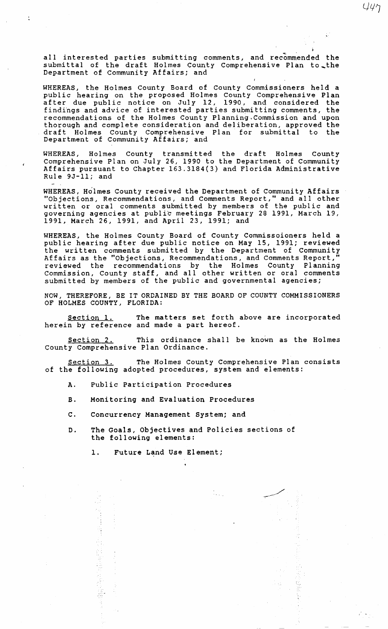all interested parties submitting comments, and recommended the submittal of the draft Holmes County Comprehensive Plan to\_the Department of Community Affairs; and

 $447$ 

WHEREAS, the Holmes County Board of County Commissioners held a public hearing on the proposed Holmes County Comprehensive Plan after due public notice on July 12, 1990, and considered the findings and advice of interested parties submitting comments, the recommendations of the Holmes County Planning.Commission and upon thorough and complete consideration and deliberation, approved the draft Holmes County Comprehensive Plan for submittal to Department of Community Affairs; and

WHEREAS, Holmes County transmitted the draft Holmes County Comprehensive Plan on July 26, 1990 to the Department of Community Affairs pursuant to Chapter 163.3184(3) and Florida Administrative Rule 9J-ll; and

WHEREAS, Holmes County received the Department of Community Affairs "Objections, Recommendations, and Comments Report," and all other written or oral comments submitted by members of the public and governing agencies at public meetings February 28 1991, March 19, 1991, March 26, 1991, and April 23, 1991; and

WHEREAS, the Holmes County Board of County Commissoioners held a public hearing after due public notice on May 15, 1991; reviewed the written comments submitted by the Department of Community Affairs as the "Objections, Recommendations, and Comments Report, reviewed the recommendations *by* the Holmes County Planning Commission, County staff, and all other written or oral comments submitted by members of the public and governmental agencies;

NOW, THEREFORE, BE IT ORDAINED BY THE BOARD OF COUNTY COMMISSIONERS OF HOLMES COUNTY, FLORIDA:

Section 1. The matters set forth above are incorporated herein by reference and made a part hereof.

Section 2. This ordinance shall be known as the Holmes County Comprehensive Plan Ordinance.

Section 3. The Holmes County Comprehensive Plan consists of the following adopted procedures, system and elements:

- A. Public Participation Procedures
- B. Monitoring and Evaluation Procedures
- c. Concurrency Management System; and
- D. The Goals, Objectives and Policies sections of the following elements:

i Li

1. Future Land Use Element;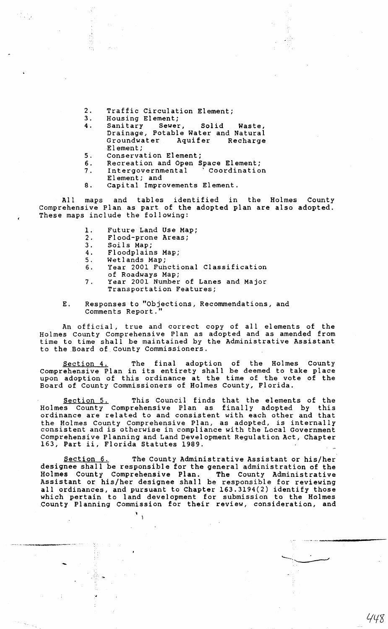- 2. Traffic Circulation Element;<br>3. Housing Element;
- 3. Housing Element;<br>4. Sanitary Sewer,
- 4. Sanitary Sewer, Solid Waste, Drainage, Potable Water and Natural Groundwater Aquifer Recharge Element;
- 5. Conservation Element;<br>6. Recreation and Open S
- 6. Recreation and Open Space Element;<br>7. Intergovernmental (Coordination
	- Intergovernmental
	- Element; and
- 8. Capital Improvements Element.

All maps and tables identified in the Holmes County Comprehensive Plan as part of the adopted plan are also adopted. These maps include the following:

- 1. Future Land Use Map;<br>2. Flood-prone Areas:
- 2. Flood-prone Areas;<br>3. Soils Map;
- 3. Soils Map;<br>4. Floodplain
- 4. Floodplains Map;<br>5. Wetlands Map;
- 5. Wetlands Map;<br>6. Year 2001 Fun

-

- Year 2001 Functional Classification
- of Roadways Map;
- 7. Year 2001 Number of Lanes and Major Transportation Features;
- E. Responses to "Objections, Recommendations, and Comments Report.

An official, true and correct copy of all elements of the Holmes County Comprehensive Plan as adopted and as amended from time to time shall be maintained by the Administrative Assistant to the Board of County Commissioners.

Section 4. The final adoption of the Holmes County Comprehensive Plan in its entirety shall be deemed to take place upon adoption of this ordinance at the time of the vote of the Board of County Commissioners of Holmes County, Florida.

Section 5. This Council finds that the elements of the Holmes County Comprehensive Plan as finally adopted by this ordinance are related to and consistent with each other and that the Holmes County Comprehensive Plan, as adopted, is internally consistent and is otherwise in compliance with the Local Government Comprehensive Planning and Land Development Regulation Act, Chapter 163, Part ii, Florida Statutes 1989.

Section 6. The County Administrative Assistant or his/her designee shall be responsible for the general administration of the Holmes County Comprehensive Plan. The County Administrative Assistant or his/her designee shall be responsible for reviewing all ordinances, and pursuant to Chapter 163.3194(2) identify those which pertain to land development for submission to the Holmes County Planning Commission for their review, consideration, and

448

 $\overline{\mathbf{r}}$